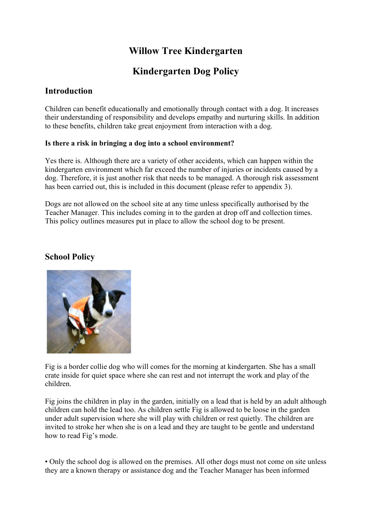# Willow Tree Kindergarten

# Kindergarten Dog Policy

## **Introduction**

Children can benefit educationally and emotionally through contact with a dog. It increases their understanding of responsibility and develops empathy and nurturing skills. In addition to these benefits, children take great enjoyment from interaction with a dog.

### Is there a risk in bringing a dog into a school environment?

Yes there is. Although there are a variety of other accidents, which can happen within the kindergarten environment which far exceed the number of injuries or incidents caused by a dog. Therefore, it is just another risk that needs to be managed. A thorough risk assessment has been carried out, this is included in this document (please refer to appendix 3).

Dogs are not allowed on the school site at any time unless specifically authorised by the Teacher Manager. This includes coming in to the garden at drop off and collection times. This policy outlines measures put in place to allow the school dog to be present.

## School Policy



Fig is a border collie dog who will comes for the morning at kindergarten. She has a small crate inside for quiet space where she can rest and not interrupt the work and play of the children.

Fig joins the children in play in the garden, initially on a lead that is held by an adult although children can hold the lead too. As children settle Fig is allowed to be loose in the garden under adult supervision where she will play with children or rest quietly. The children are invited to stroke her when she is on a lead and they are taught to be gentle and understand how to read Fig's mode.

• Only the school dog is allowed on the premises. All other dogs must not come on site unless they are a known therapy or assistance dog and the Teacher Manager has been informed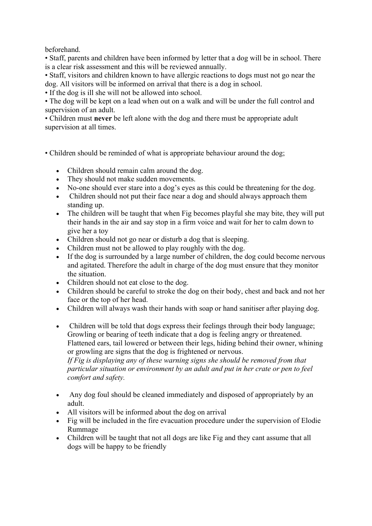beforehand.

• Staff, parents and children have been informed by letter that a dog will be in school. There is a clear risk assessment and this will be reviewed annually.

• Staff, visitors and children known to have allergic reactions to dogs must not go near the dog. All visitors will be informed on arrival that there is a dog in school.

• If the dog is ill she will not be allowed into school.

• The dog will be kept on a lead when out on a walk and will be under the full control and supervision of an adult.

• Children must never be left alone with the dog and there must be appropriate adult supervision at all times.

• Children should be reminded of what is appropriate behaviour around the dog;

- Children should remain calm around the dog.
- They should not make sudden movements.
- No-one should ever stare into a dog's eyes as this could be threatening for the dog.
- Children should not put their face near a dog and should always approach them standing up.
- The children will be taught that when Fig becomes playful she may bite, they will put their hands in the air and say stop in a firm voice and wait for her to calm down to give her a toy
- Children should not go near or disturb a dog that is sleeping.
- Children must not be allowed to play roughly with the dog.
- If the dog is surrounded by a large number of children, the dog could become nervous and agitated. Therefore the adult in charge of the dog must ensure that they monitor the situation.
- Children should not eat close to the dog.
- Children should be careful to stroke the dog on their body, chest and back and not her face or the top of her head.
- Children will always wash their hands with soap or hand sanitiser after playing dog.
- Children will be told that dogs express their feelings through their body language; Growling or bearing of teeth indicate that a dog is feeling angry or threatened. Flattened ears, tail lowered or between their legs, hiding behind their owner, whining or growling are signs that the dog is frightened or nervous. If Fig is displaying any of these warning signs she should be removed from that particular situation or environment by an adult and put in her crate or pen to feel comfort and safety.
- Any dog foul should be cleaned immediately and disposed of appropriately by an adult.
- All visitors will be informed about the dog on arrival
- Fig will be included in the fire evacuation procedure under the supervision of Elodie Rummage
- Children will be taught that not all dogs are like Fig and they cant assume that all dogs will be happy to be friendly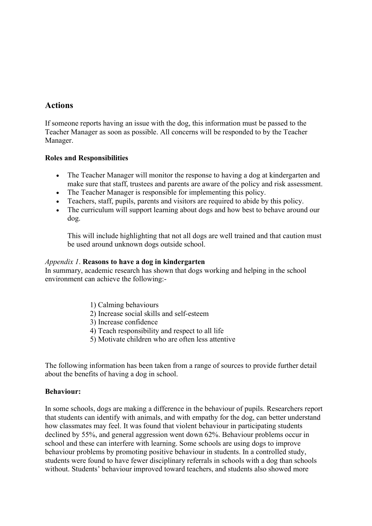## **Actions**

If someone reports having an issue with the dog, this information must be passed to the Teacher Manager as soon as possible. All concerns will be responded to by the Teacher Manager.

#### Roles and Responsibilities

- The Teacher Manager will monitor the response to having a dog at kindergarten and make sure that staff, trustees and parents are aware of the policy and risk assessment.
- The Teacher Manager is responsible for implementing this policy.
- Teachers, staff, pupils, parents and visitors are required to abide by this policy.
- The curriculum will support learning about dogs and how best to behave around our dog.

This will include highlighting that not all dogs are well trained and that caution must be used around unknown dogs outside school.

#### Appendix 1. Reasons to have a dog in kindergarten

In summary, academic research has shown that dogs working and helping in the school environment can achieve the following:-

- 1) Calming behaviours
- 2) Increase social skills and self-esteem
- 3) Increase confidence
- 4) Teach responsibility and respect to all life
- 5) Motivate children who are often less attentive

The following information has been taken from a range of sources to provide further detail about the benefits of having a dog in school.

#### Behaviour:

In some schools, dogs are making a difference in the behaviour of pupils. Researchers report that students can identify with animals, and with empathy for the dog, can better understand how classmates may feel. It was found that violent behaviour in participating students declined by 55%, and general aggression went down 62%. Behaviour problems occur in school and these can interfere with learning. Some schools are using dogs to improve behaviour problems by promoting positive behaviour in students. In a controlled study, students were found to have fewer disciplinary referrals in schools with a dog than schools without. Students' behaviour improved toward teachers, and students also showed more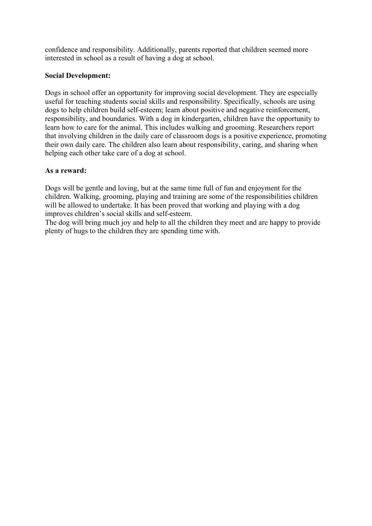confidence and responsibility. Additionally, parents reported that children seemed more interested in school as a result of having a dog at school.

### Social Development:

Dogs in school offer an opportunity for improving social development. They are especially useful for teaching students social skills and responsibility. Specifically, schools are using dogs to help children build self-esteem; learn about positive and negative reinforcement, responsibility, and boundaries. With a dog in kindergarten, children have the opportunity to learn how to care for the animal. This includes walking and grooming. Researchers report that involving children in the daily care of classroom dogs is a positive experience, promoting their own daily care. The children also learn about responsibility, caring, and sharing when helping each other take care of a dog at school.

#### As a reward:

Dogs will be gentle and loving, but at the same time full of fun and enjoyment for the children. Walking, grooming, playing and training are some of the responsibilities children will be allowed to undertake. It has been proved that working and playing with a dog improves children's social skills and self-esteem.

The dog will bring much joy and help to all the children they meet and are happy to provide plenty of hugs to the children they are spending time with.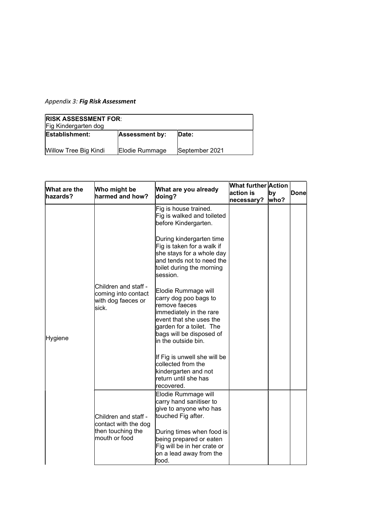## Appendix 3: Fig Risk Assessment

| <b>RISK ASSESSMENT FOR:</b><br>Fig Kindergarten dog |                       |                |  |  |
|-----------------------------------------------------|-----------------------|----------------|--|--|
| <b>Establishment:</b>                               | <b>Assessment by:</b> | <b>Date:</b>   |  |  |
| Willow Tree Big Kindi                               | Elodie Rummage        | September 2021 |  |  |

| What are the<br>hazards? | Who might be<br>harmed and how?                                                    | What are you already<br>doing?                                                                                                                                                                                                                                                           | <b>What further Action</b><br>action is<br>necessary? | by<br>who? | <b>Donel</b> |
|--------------------------|------------------------------------------------------------------------------------|------------------------------------------------------------------------------------------------------------------------------------------------------------------------------------------------------------------------------------------------------------------------------------------|-------------------------------------------------------|------------|--------------|
| Hygiene                  | Children and staff -<br>coming into contact<br>with dog faeces or                  | Fig is house trained.<br>Fig is walked and toileted<br>before Kindergarten.<br>During kindergarten time<br>Fig is taken for a walk if<br>she stays for a whole day<br>and tends not to need the<br>toilet during the morning<br>session.<br>Elodie Rummage will<br>carry dog poo bags to |                                                       |            |              |
|                          | sick.                                                                              | remove faeces<br>immediately in the rare<br>event that she uses the<br>garden for a toilet. The<br>bags will be disposed of<br>in the outside bin.<br>If Fig is unwell she will be<br>collected from the                                                                                 |                                                       |            |              |
|                          |                                                                                    | kindergarten and not<br>return until she has<br>recovered.                                                                                                                                                                                                                               |                                                       |            |              |
|                          | Children and staff -<br>contact with the dog<br>then touching the<br>mouth or food | Elodie Rummage will<br>carry hand sanitiser to<br>give to anyone who has<br>touched Fig after.                                                                                                                                                                                           |                                                       |            |              |
|                          |                                                                                    | During times when food is<br>being prepared or eaten<br>Fig will be in her crate or<br>on a lead away from the<br>food.                                                                                                                                                                  |                                                       |            |              |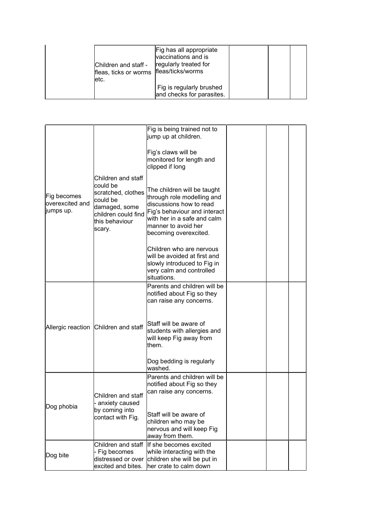| letc. | Children and staff -<br>fleas, ticks or worms   fleas/ticks/worms | Fig has all appropriate<br>vaccinations and is<br>regularly treated for |  |  |
|-------|-------------------------------------------------------------------|-------------------------------------------------------------------------|--|--|
|       |                                                                   | Fig is regularly brushed<br>and checks for parasites.                   |  |  |

| Fig becomes<br>overexcited and<br>jumps up. | Children and staff<br>could be<br>scratched, clothes<br>could be<br>damaged, some<br>children could find<br>this behaviour<br>scary. | Fig is being trained not to<br>jump up at children.                                                                                                                                                 |  |  |
|---------------------------------------------|--------------------------------------------------------------------------------------------------------------------------------------|-----------------------------------------------------------------------------------------------------------------------------------------------------------------------------------------------------|--|--|
|                                             |                                                                                                                                      | Fig's claws will be<br>monitored for length and<br>clipped if long                                                                                                                                  |  |  |
|                                             |                                                                                                                                      | The children will be taught<br>through role modelling and<br>discussions how to read<br>Fig's behaviour and interact<br>with her in a safe and calm<br>manner to avoid her<br>becoming overexcited. |  |  |
|                                             |                                                                                                                                      | Children who are nervous<br>will be avoided at first and<br>slowly introduced to Fig in<br>very calm and controlled<br>situations.                                                                  |  |  |
|                                             |                                                                                                                                      | Parents and children will be<br>notified about Fig so they<br>can raise any concerns.                                                                                                               |  |  |
|                                             | Allergic reaction Children and staff                                                                                                 | Staff will be aware of<br>students with allergies and<br>will keep Fig away from<br>them.                                                                                                           |  |  |
|                                             |                                                                                                                                      | Dog bedding is regularly<br>washed.                                                                                                                                                                 |  |  |
| Dog phobia                                  | Children and staff<br>- anxiety caused<br>by coming into<br>contact with Fig.                                                        | Parents and children will be<br>notified about Fig so they<br>can raise any concerns.                                                                                                               |  |  |
|                                             |                                                                                                                                      | Staff will be aware of<br>children who may be<br>nervous and will keep Fig<br>away from them.                                                                                                       |  |  |
| Dog bite                                    | Children and staff<br>- Fig becomes<br>distressed or over<br>excited and bites.                                                      | If she becomes excited<br>while interacting with the<br>children she will be put in<br>her crate to calm down                                                                                       |  |  |